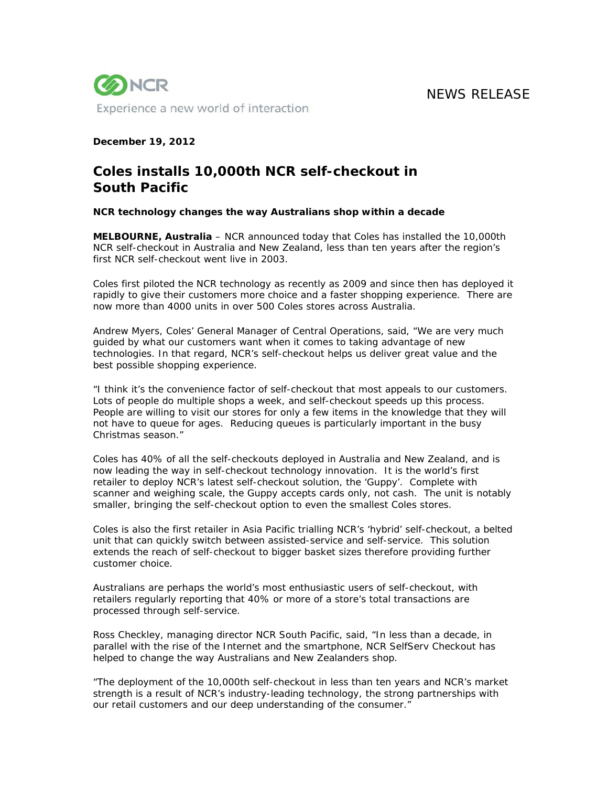NEWS RELEASE



## **December 19, 2012**

# **Coles installs 10,000th NCR self-checkout in South Pacific**

## **NCR technology changes the way Australians shop within a decade**

**MELBOURNE, Australia** – NCR announced today that Coles has installed the 10,000th NCR self-checkout in Australia and New Zealand, less than ten years after the region's first NCR self-checkout went live in 2003.

Coles first piloted the NCR technology as recently as 2009 and since then has deployed it rapidly to give their customers more choice and a faster shopping experience. There are now more than 4000 units in over 500 Coles stores across Australia.

Andrew Myers, Coles' General Manager of Central Operations, said, "We are very much guided by what our customers want when it comes to taking advantage of new technologies. In that regard, NCR's self-checkout helps us deliver great value and the best possible shopping experience.

"I think it's the convenience factor of self-checkout that most appeals to our customers. Lots of people do multiple shops a week, and self-checkout speeds up this process. People are willing to visit our stores for only a few items in the knowledge that they will not have to queue for ages. Reducing queues is particularly important in the busy Christmas season."

Coles has 40% of all the self-checkouts deployed in Australia and New Zealand, and is now leading the way in self-checkout technology innovation. It is the world's first retailer to deploy NCR's latest self-checkout solution, the 'Guppy'. Complete with scanner and weighing scale, the Guppy accepts cards only, not cash. The unit is notably smaller, bringing the self-checkout option to even the smallest Coles stores.

Coles is also the first retailer in Asia Pacific trialling NCR's 'hybrid' self-checkout, a belted unit that can quickly switch between assisted-service and self-service. This solution extends the reach of self-checkout to bigger basket sizes therefore providing further customer choice.

Australians are perhaps the world's most enthusiastic users of self-checkout, with retailers regularly reporting that 40% or more of a store's total transactions are processed through self-service.

Ross Checkley, managing director NCR South Pacific, said, "In less than a decade, in parallel with the rise of the Internet and the smartphone, NCR SelfServ Checkout has helped to change the way Australians and New Zealanders shop.

"The deployment of the 10,000th self-checkout in less than ten years and NCR's market strength is a result of NCR's industry-leading technology, the strong partnerships with our retail customers and our deep understanding of the consumer."